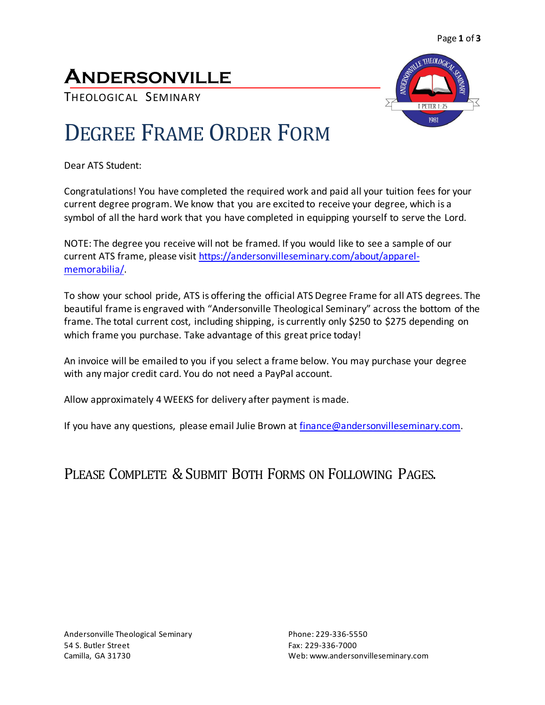### **ANDERSONVILLE**

THEOLOGICAL SEMINARY



# DEGREE FRAME ORDER FORM

Dear ATS Student:

Congratulations! You have completed the required work and paid all your tuition fees for your current degree program. We know that you are excited to receive your degree, which is a symbol of all the hard work that you have completed in equipping yourself to serve the Lord.

NOTE: The degree you receive will not be framed. If you would like to see a sample of our current ATS frame, please visit [https://andersonvilleseminary.com/about/apparel](https://andersonvilleseminary.com/about/apparel-memorabilia/)[memorabilia/.](https://andersonvilleseminary.com/about/apparel-memorabilia/)

To show your school pride, ATS is offering the official ATS Degree Frame for all ATS degrees. The beautiful frame is engraved with "Andersonville Theological Seminary" across the bottom of the frame. The total current cost, including shipping, is currently only \$250 to \$275 depending on which frame you purchase. Take advantage of this great price today!

An invoice will be emailed to you if you select a frame below. You may purchase your degree with any major credit card. You do not need a PayPal account.

Allow approximately 4 WEEKS for delivery after payment is made.

If you have any questions, please email Julie Brown at [finance@andersonvilleseminary.com.](mailto:finance@andersonvilleseminary.com)

### PLEASE COMPLETE & SUBMIT BOTH FORMS ON FOLLOWING PAGES.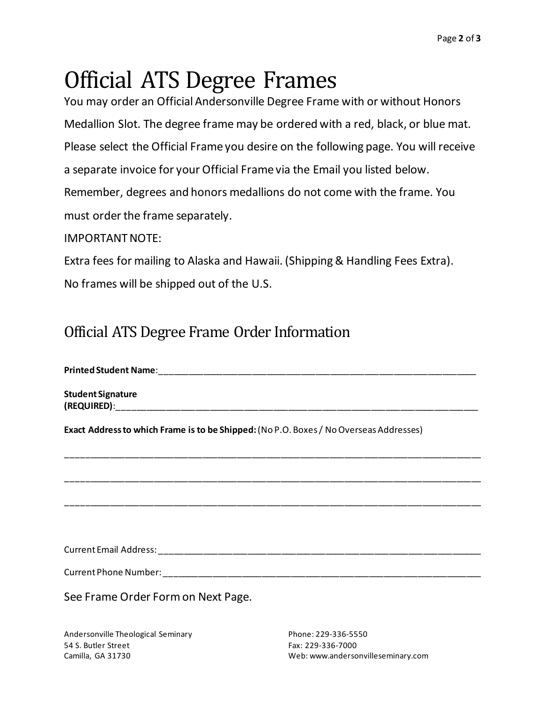# Official ATS Degree Frames

You may order an Official Andersonville Degree Frame with or without Honors Medallion Slot. The degree frame may be ordered with a red, black, or blue mat. Please select the Official Frame you desire on the following page. You will receive a separate invoice for your Official Frame via the Email you listed below. Remember, degrees and honors medallions do not come with the frame. You must order the frame separately.

#### IMPORTANT NOTE:

Extra fees for mailing to Alaska and Hawaii. (Shipping & Handling Fees Extra). No frames will be shipped out of the U.S.

### Official ATS Degree Frame Order Information

Printed Student Name: **Printed Student Name**:

**Student Signature (REQUIRED)**:\_\_\_\_\_\_\_\_\_\_\_\_\_\_\_\_\_\_\_\_\_\_\_\_\_\_\_\_\_\_\_\_\_\_\_\_\_\_\_\_\_\_\_\_\_\_\_\_\_\_\_\_\_\_\_\_\_\_\_\_\_\_\_\_\_\_\_\_\_\_\_\_\_\_

**Exact Address to which Frame is to be Shipped:**(No P.O. Boxes / No Overseas Addresses)

Current Email Address: \_\_\_\_\_\_\_\_\_\_\_\_\_\_\_\_\_\_\_\_\_\_\_\_\_\_\_\_\_\_\_\_\_\_\_\_\_\_\_\_\_\_\_\_\_\_\_\_\_\_\_\_\_\_\_\_\_\_\_\_\_\_\_\_\_\_

\_\_\_\_\_\_\_\_\_\_\_\_\_\_\_\_\_\_\_\_\_\_\_\_\_\_\_\_\_\_\_\_\_\_\_\_\_\_\_\_\_\_\_\_\_\_\_\_\_\_\_\_\_\_\_\_\_\_\_\_\_\_\_\_\_\_\_\_\_\_\_\_\_\_\_\_\_\_\_\_\_\_\_\_\_

\_\_\_\_\_\_\_\_\_\_\_\_\_\_\_\_\_\_\_\_\_\_\_\_\_\_\_\_\_\_\_\_\_\_\_\_\_\_\_\_\_\_\_\_\_\_\_\_\_\_\_\_\_\_\_\_\_\_\_\_\_\_\_\_\_\_\_\_\_\_\_\_\_\_\_\_\_\_\_\_\_\_\_\_\_

\_\_\_\_\_\_\_\_\_\_\_\_\_\_\_\_\_\_\_\_\_\_\_\_\_\_\_\_\_\_\_\_\_\_\_\_\_\_\_\_\_\_\_\_\_\_\_\_\_\_\_\_\_\_\_\_\_\_\_\_\_\_\_\_\_\_\_\_\_\_\_\_\_\_\_\_\_\_\_\_\_\_\_\_\_

Current Phone Number: \_\_\_\_\_\_\_\_\_\_\_\_\_\_\_\_\_\_\_\_\_\_\_\_\_\_\_\_\_\_\_\_\_\_\_\_\_\_\_\_\_\_\_\_\_\_\_\_\_\_\_\_\_\_\_\_\_\_\_\_\_\_\_\_\_

See Frame Order Form on Next Page.

Andersonville Theological Seminary **Phone: 229-336-5550** 54 S. Butler Street Fax: 229-336-7000